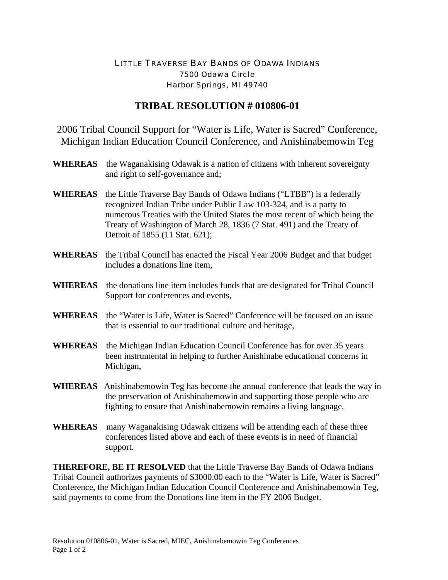## LITTLE TRAVERSE BAY BANDS OF ODAWA INDIANS 7500 Odawa Circle Harbor Springs, MI 49740

## **TRIBAL RESOLUTION # 010806-01**

2006 Tribal Council Support for "Water is Life, Water is Sacred" Conference, Michigan Indian Education Council Conference, and Anishinabemowin Teg

- **WHEREAS** the Waganakising Odawak is a nation of citizens with inherent sovereignty and right to self-governance and;
- **WHEREAS** the Little Traverse Bay Bands of Odawa Indians ("LTBB") is a federally recognized Indian Tribe under Public Law 103-324, and is a party to numerous Treaties with the United States the most recent of which being the Treaty of Washington of March 28, 1836 (7 Stat. 491) and the Treaty of Detroit of 1855 (11 Stat. 621);
- **WHEREAS** the Tribal Council has enacted the Fiscal Year 2006 Budget and that budget includes a donations line item,
- **WHEREAS** the donations line item includes funds that are designated for Tribal Council Support for conferences and events,
- **WHEREAS** the "Water is Life, Water is Sacred" Conference will be focused on an issue that is essential to our traditional culture and heritage,
- **WHEREAS** the Michigan Indian Education Council Conference has for over 35 years been instrumental in helping to further Anishinabe educational concerns in Michigan,
- **WHEREAS** Anishinabemowin Teg has become the annual conference that leads the way in the preservation of Anishinabemowin and supporting those people who are fighting to ensure that Anishinabemowin remains a living language,
- **WHEREAS** many Waganakising Odawak citizens will be attending each of these three conferences listed above and each of these events is in need of financial support.

**THEREFORE, BE IT RESOLVED** that the Little Traverse Bay Bands of Odawa Indians Tribal Council authorizes payments of \$3000.00 each to the "Water is Life, Water is Sacred" Conference, the Michigan Indian Education Council Conference and Anishinabemowin Teg, said payments to come from the Donations line item in the FY 2006 Budget.